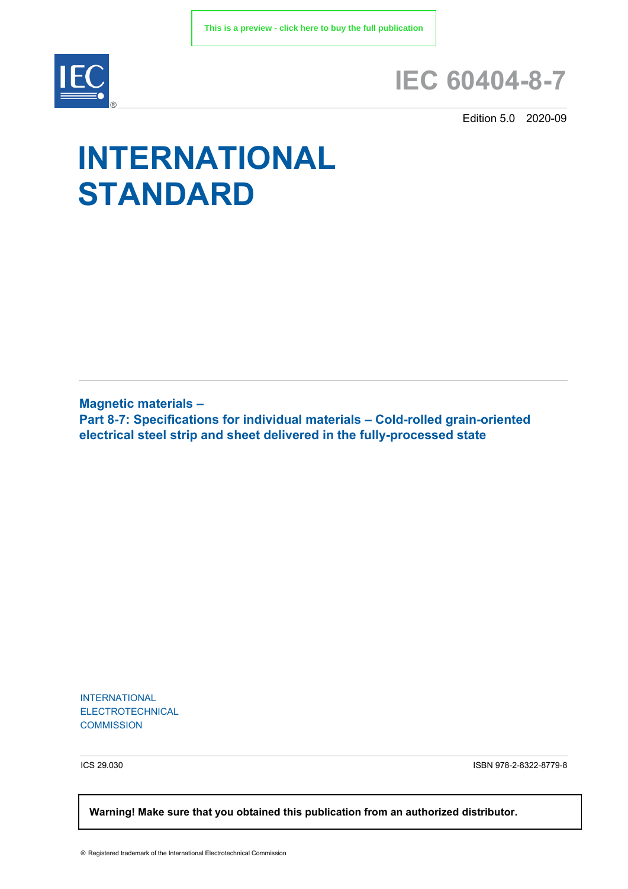

## **IEC 60404-8-7**

Edition 5.0 2020-09

# **INTERNATIONAL STANDARD**

**Magnetic materials – Part 8-7: Specifications for individual materials – Cold-rolled grain-oriented electrical steel strip and sheet delivered in the fully-processed state**

INTERNATIONAL ELECTROTECHNICAL **COMMISSION** 

ICS 29.030 ISBN 978-2-8322-8779-8

 **Warning! Make sure that you obtained this publication from an authorized distributor.**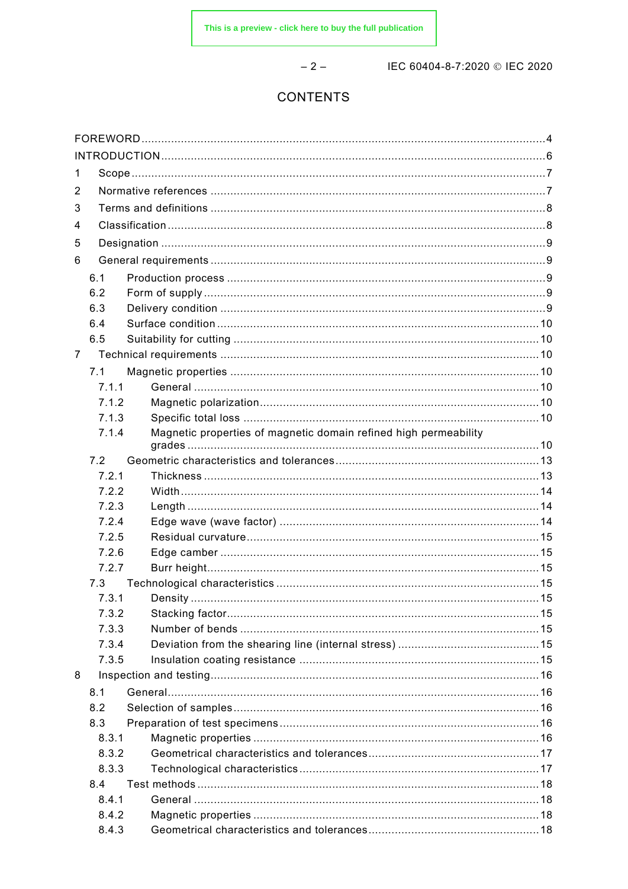$-2-$ 

IEC 60404-8-7:2020 © IEC 2020

### **CONTENTS**

| 1              |       |                                                                  |  |  |  |  |  |
|----------------|-------|------------------------------------------------------------------|--|--|--|--|--|
| 2              |       |                                                                  |  |  |  |  |  |
| 3              |       |                                                                  |  |  |  |  |  |
| 4              |       |                                                                  |  |  |  |  |  |
|                |       |                                                                  |  |  |  |  |  |
| 5              |       |                                                                  |  |  |  |  |  |
| 6              |       |                                                                  |  |  |  |  |  |
|                | 6.1   |                                                                  |  |  |  |  |  |
|                | 6.2   |                                                                  |  |  |  |  |  |
|                | 6.3   |                                                                  |  |  |  |  |  |
|                | 6.4   |                                                                  |  |  |  |  |  |
|                | 6.5   |                                                                  |  |  |  |  |  |
| $\overline{7}$ |       |                                                                  |  |  |  |  |  |
|                | 7.1   |                                                                  |  |  |  |  |  |
|                | 7.1.1 |                                                                  |  |  |  |  |  |
|                | 7.1.2 |                                                                  |  |  |  |  |  |
|                | 7.1.3 |                                                                  |  |  |  |  |  |
|                | 7.1.4 | Magnetic properties of magnetic domain refined high permeability |  |  |  |  |  |
|                | 7.2   |                                                                  |  |  |  |  |  |
|                | 7.2.1 |                                                                  |  |  |  |  |  |
|                | 7.2.2 |                                                                  |  |  |  |  |  |
|                | 7.2.3 |                                                                  |  |  |  |  |  |
|                | 7.2.4 |                                                                  |  |  |  |  |  |
|                | 7.2.5 |                                                                  |  |  |  |  |  |
|                | 7.2.6 |                                                                  |  |  |  |  |  |
|                | 7.2.7 |                                                                  |  |  |  |  |  |
|                | 7.3   |                                                                  |  |  |  |  |  |
|                | 7.3.1 |                                                                  |  |  |  |  |  |
|                | 7.3.2 |                                                                  |  |  |  |  |  |
|                | 7.3.3 |                                                                  |  |  |  |  |  |
|                | 7.3.4 |                                                                  |  |  |  |  |  |
|                | 7.3.5 |                                                                  |  |  |  |  |  |
| 8              |       |                                                                  |  |  |  |  |  |
|                | 8.1   |                                                                  |  |  |  |  |  |
|                | 8.2   |                                                                  |  |  |  |  |  |
|                | 8.3   |                                                                  |  |  |  |  |  |
|                | 8.3.1 |                                                                  |  |  |  |  |  |
|                | 8.3.2 |                                                                  |  |  |  |  |  |
|                | 8.3.3 |                                                                  |  |  |  |  |  |
|                | 8.4   |                                                                  |  |  |  |  |  |
|                | 8.4.1 |                                                                  |  |  |  |  |  |
|                | 8.4.2 |                                                                  |  |  |  |  |  |
|                | 8.4.3 |                                                                  |  |  |  |  |  |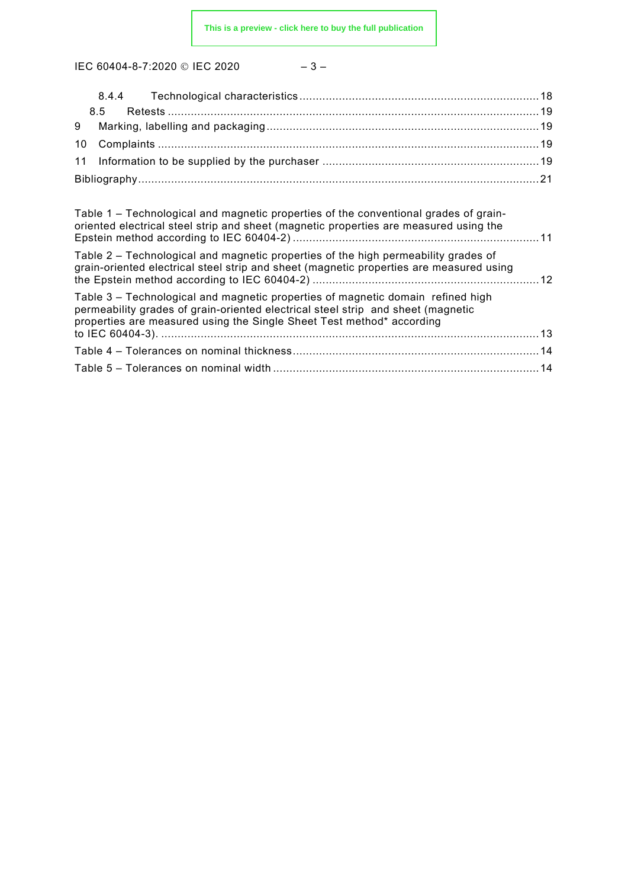IEC 60404-8-7:2020 © IEC 2020

$$
-\;3\;-\;
$$

| Table 1 – Technological and magnetic properties of the conventional grades of grain-<br>oriented electrical steel strip and sheet (magnetic properties are measured using the                                                                |  |
|----------------------------------------------------------------------------------------------------------------------------------------------------------------------------------------------------------------------------------------------|--|
| Table 2 – Technological and magnetic properties of the high permeability grades of<br>grain-oriented electrical steel strip and sheet (magnetic properties are measured using                                                                |  |
| Table 3 – Technological and magnetic properties of magnetic domain refined high<br>permeability grades of grain-oriented electrical steel strip and sheet (magnetic<br>properties are measured using the Single Sheet Test method* according |  |
|                                                                                                                                                                                                                                              |  |
|                                                                                                                                                                                                                                              |  |
|                                                                                                                                                                                                                                              |  |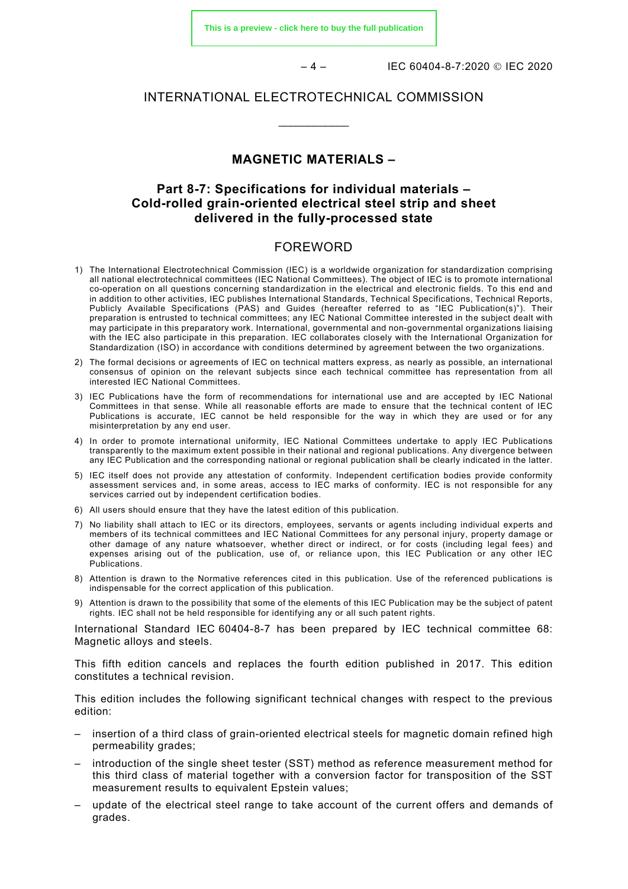**[This is a preview - click here to buy the full publication](https://webstore.iec.ch/publication/63884&preview)**

– 4 – IEC 60404-8-7:2020 IEC 2020

#### INTERNATIONAL ELECTROTECHNICAL COMMISSION

\_\_\_\_\_\_\_\_\_\_\_\_

#### **MAGNETIC MATERIALS –**

#### **Part 8-7: Specifications for individual materials – Cold-rolled grain-oriented electrical steel strip and sheet delivered in the fully-processed state**

#### FOREWORD

- <span id="page-3-0"></span>1) The International Electrotechnical Commission (IEC) is a worldwide organization for standardization comprising all national electrotechnical committees (IEC National Committees). The object of IEC is to promote international co-operation on all questions concerning standardization in the electrical and electronic fields. To this end and in addition to other activities, IEC publishes International Standards, Technical Specifications, Technical Reports, Publicly Available Specifications (PAS) and Guides (hereafter referred to as "IEC Publication(s)"). Their preparation is entrusted to technical committees; any IEC National Committee interested in the subject dealt with may participate in this preparatory work. International, governmental and non-governmental organizations liaising with the IEC also participate in this preparation. IEC collaborates closely with the International Organization for Standardization (ISO) in accordance with conditions determined by agreement between the two organizations.
- 2) The formal decisions or agreements of IEC on technical matters express, as nearly as possible, an international consensus of opinion on the relevant subjects since each technical committee has representation from all interested IEC National Committees.
- 3) IEC Publications have the form of recommendations for international use and are accepted by IEC National Committees in that sense. While all reasonable efforts are made to ensure that the technical content of IEC Publications is accurate, IEC cannot be held responsible for the way in which they are used or for any misinterpretation by any end user.
- 4) In order to promote international uniformity, IEC National Committees undertake to apply IEC Publications transparently to the maximum extent possible in their national and regional publications. Any divergence between any IEC Publication and the corresponding national or regional publication shall be clearly indicated in the latter.
- 5) IEC itself does not provide any attestation of conformity. Independent certification bodies provide conformity assessment services and, in some areas, access to IEC marks of conformity. IEC is not responsible for any services carried out by independent certification bodies.
- 6) All users should ensure that they have the latest edition of this publication.
- 7) No liability shall attach to IEC or its directors, employees, servants or agents including individual experts and members of its technical committees and IEC National Committees for any personal injury, property damage or other damage of any nature whatsoever, whether direct or indirect, or for costs (including legal fees) and expenses arising out of the publication, use of, or reliance upon, this IEC Publication or any other IEC Publications.
- 8) Attention is drawn to the Normative references cited in this publication. Use of the referenced publications is indispensable for the correct application of this publication.
- 9) Attention is drawn to the possibility that some of the elements of this IEC Publication may be the subject of patent rights. IEC shall not be held responsible for identifying any or all such patent rights.

International Standard IEC 60404-8-7 has been prepared by IEC technical committee 68: Magnetic alloys and steels.

This fifth edition cancels and replaces the fourth edition published in 2017. This edition constitutes a technical revision.

This edition includes the following significant technical changes with respect to the previous edition:

- insertion of a third class of grain-oriented electrical steels for magnetic domain refined high permeability grades;
- introduction of the single sheet tester (SST) method as reference measurement method for this third class of material together with a conversion factor for transposition of the SST measurement results to equivalent Epstein values;
- update of the electrical steel range to take account of the current offers and demands of grades.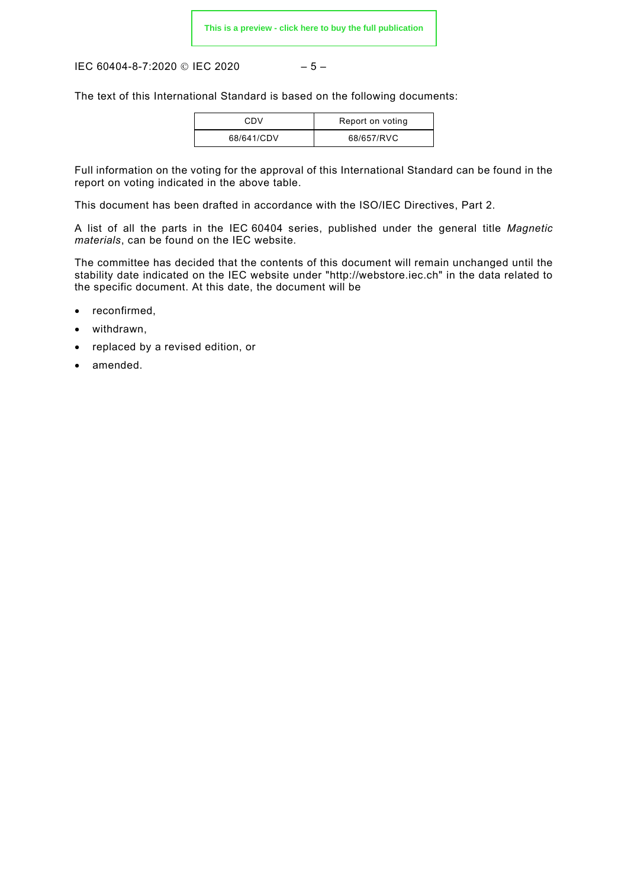IEC 60404-8-7:2020 © IEC 2020 – 5 –

The text of this International Standard is based on the following documents:

| CDV        | Report on voting |
|------------|------------------|
| 68/641/CDV | 68/657/RVC       |

Full information on the voting for the approval of this International Standard can be found in the report on voting indicated in the above table.

This document has been drafted in accordance with the ISO/IEC Directives, Part 2.

A list of all the parts in the IEC 60404 series, published under the general title *Magnetic materials*, can be found on the IEC website.

The committee has decided that the contents of this document will remain unchanged until the stability date indicated on the IEC website under "http://webstore.iec.ch" in the data related to the specific document. At this date, the document will be

- reconfirmed,
- withdrawn,
- replaced by a revised edition, or
- amended.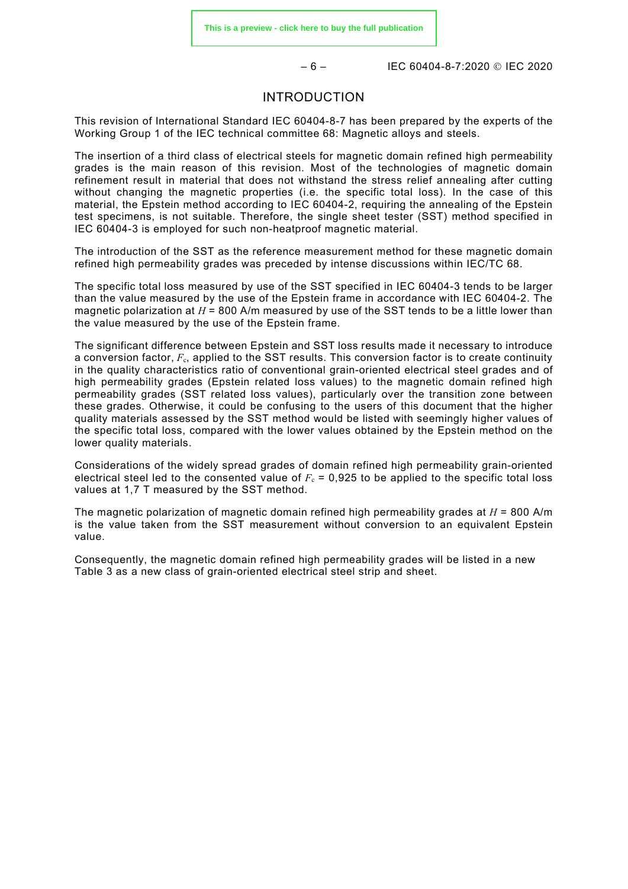$-6 -$  IEC 60404-8-7:2020 © IEC 2020

#### INTRODUCTION

<span id="page-5-0"></span>This revision of International Standard IEC 60404-8-7 has been prepared by the experts of the Working Group 1 of the IEC technical committee 68: Magnetic alloys and steels.

The insertion of a third class of electrical steels for magnetic domain refined high permeability grades is the main reason of this revision. Most of the technologies of magnetic domain refinement result in material that does not withstand the stress relief annealing after cutting without changing the magnetic properties (i.e. the specific total loss). In the case of this material, the Epstein method according to IEC 60404-2, requiring the annealing of the Epstein test specimens, is not suitable. Therefore, the single sheet tester (SST) method specified in IEC 60404-3 is employed for such non-heatproof magnetic material.

The introduction of the SST as the reference measurement method for these magnetic domain refined high permeability grades was preceded by intense discussions within IEC/TC 68.

The specific total loss measured by use of the SST specified in IEC 60404-3 tends to be larger than the value measured by the use of the Epstein frame in accordance with IEC 60404-2. The magnetic polarization at  $H = 800$  A/m measured by use of the SST tends to be a little lower than the value measured by the use of the Epstein frame.

The significant difference between Epstein and SST loss results made it necessary to introduce a conversion factor,  $F_c$ , applied to the SST results. This conversion factor is to create continuity in the quality characteristics ratio of conventional grain-oriented electrical steel grades and of high permeability grades (Epstein related loss values) to the magnetic domain refined high permeability grades (SST related loss values), particularly over the transition zone between these grades. Otherwise, it could be confusing to the users of this document that the higher quality materials assessed by the SST method would be listed with seemingly higher values of the specific total loss, compared with the lower values obtained by the Epstein method on the lower quality materials.

Considerations of the widely spread grades of domain refined high permeability grain-oriented electrical steel led to the consented value of  $F_c = 0.925$  to be applied to the specific total loss values at 1,7 T measured by the SST method.

The magnetic polarization of magnetic domain refined high permeability grades at *H* = 800 A/m is the value taken from the SST measurement without conversion to an equivalent Epstein value.

Consequently, the magnetic domain refined high permeability grades will be listed in a new [Table 3](#page--1-17) as a new class of grain-oriented electrical steel strip and sheet.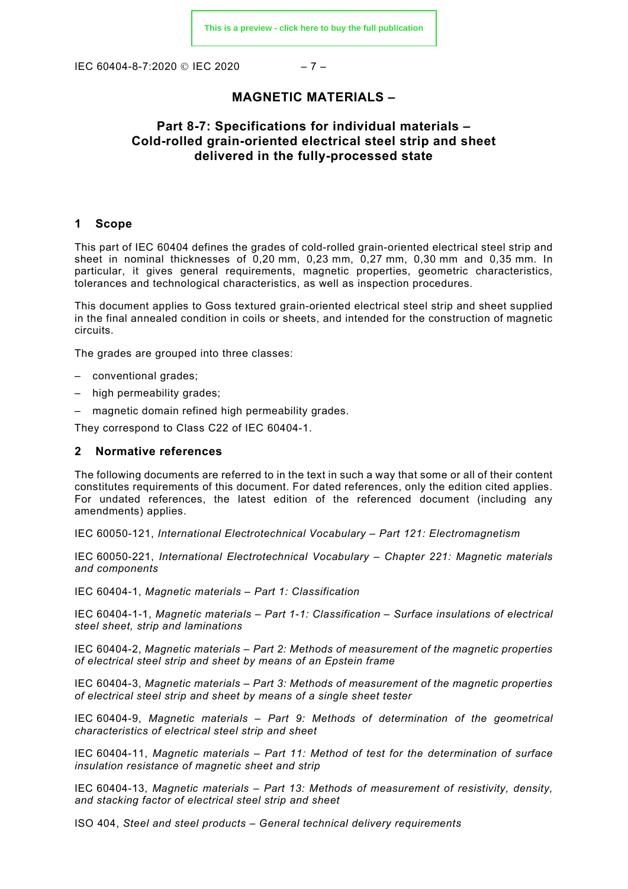IEC 60404-8-7:2020 © IEC 2020 – 7 –

#### **MAGNETIC MATERIALS –**

#### **Part 8-7: Specifications for individual materials – Cold-rolled grain-oriented electrical steel strip and sheet delivered in the fully-processed state**

#### <span id="page-6-0"></span>**1 Scope**

This part of IEC 60404 defines the grades of cold-rolled grain-oriented electrical steel strip and sheet in nominal thicknesses of 0,20 mm, 0,23 mm, 0,27 mm, 0,30 mm and 0,35 mm. In particular, it gives general requirements, magnetic properties, geometric characteristics, tolerances and technological characteristics, as well as inspection procedures.

This document applies to Goss textured grain-oriented electrical steel strip and sheet supplied in the final annealed condition in coils or sheets, and intended for the construction of magnetic circuits.

The grades are grouped into three classes:

- conventional grades;
- high permeability grades;
- magnetic domain refined high permeability grades.

They correspond to Class C22 of IEC 60404-1.

#### <span id="page-6-1"></span>**2 Normative references**

The following documents are referred to in the text in such a way that some or all of their content constitutes requirements of this document. For dated references, only the edition cited applies. For undated references, the latest edition of the referenced document (including any amendments) applies.

IEC 60050-121, *International Electrotechnical Vocabulary – Part 121: Electromagnetism*

IEC 60050-221, *International Electrotechnical Vocabulary – Chapter 221: Magnetic materials and components*

IEC 60404-1, *Magnetic materials – Part 1: Classification*

IEC 60404-1-1, *Magnetic materials – Part 1-1: Classification – Surface insulations of electrical steel sheet, strip and laminations*

IEC 60404-2, *Magnetic materials – Part 2: Methods of measurement of the magnetic properties of electrical steel strip and sheet by means of an Epstein frame*

IEC 60404-3, *Magnetic materials – Part 3: Methods of measurement of the magnetic properties of electrical steel strip and sheet by means of a single sheet tester*

IEC 60404-9, *Magnetic materials – Part 9: Methods of determination of the geometrical characteristics of electrical steel strip and sheet*

IEC 60404-11, *Magnetic materials – Part 11: Method of test for the determination of surface insulation resistance of magnetic sheet and strip*

IEC 60404-13, *Magnetic materials – Part 13: Methods of measurement of resistivity, density, and stacking factor of electrical steel strip and sheet*

ISO 404, *Steel and steel products – General technical delivery requirements*